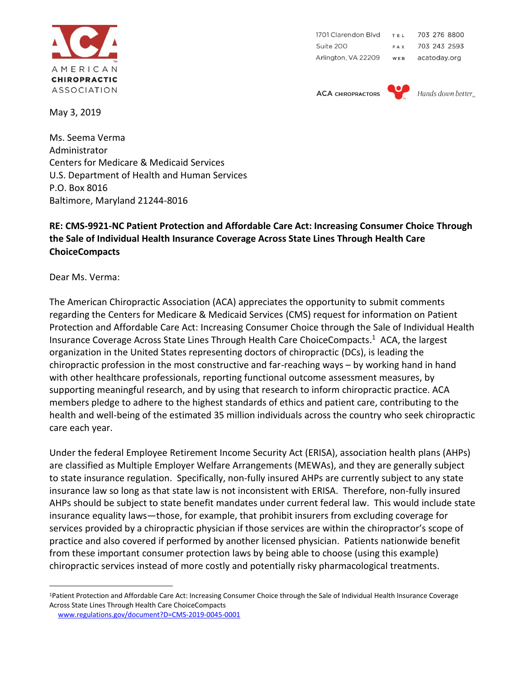

May 3, 2019

703 276 8800 1701 Clarendon Blvd TEL Suite 200 703 243 2593 FAX Arlington, VA 22209 WEB acatoday.org

**ACA CHIROPRACTORS** 



Hands down better.

Ms. Seema Verma Administrator Centers for Medicare & Medicaid Services U.S. Department of Health and Human Services P.O. Box 8016 Baltimore, Maryland 21244-8016

## **RE: CMS-9921-NC Patient Protection and Affordable Care Act: Increasing Consumer Choice Through the Sale of Individual Health Insurance Coverage Across State Lines Through Health Care ChoiceCompacts**

Dear Ms. Verma:

 $\overline{a}$ 

The American Chiropractic Association (ACA) appreciates the opportunity to submit comments regarding the Centers for Medicare & Medicaid Services (CMS) request for information on Patient Protection and Affordable Care Act: Increasing Consumer Choice through the Sale of Individual Health Insurance Coverage Across State Lines Through Health Care ChoiceCompacts. <sup>1</sup> ACA, the largest organization in the United States representing doctors of chiropractic (DCs), is leading the chiropractic profession in the most constructive and far-reaching ways – by working hand in hand with other healthcare professionals, reporting functional outcome assessment measures, by supporting meaningful research, and by using that research to inform chiropractic practice. ACA members pledge to adhere to the highest standards of ethics and patient care, contributing to the health and well-being of the estimated 35 million individuals across the country who seek chiropractic care each year.

Under the federal Employee Retirement Income Security Act (ERISA), association health plans (AHPs) are classified as Multiple Employer Welfare Arrangements (MEWAs), and they are generally subject to state insurance regulation. Specifically, non-fully insured AHPs are currently subject to any state insurance law so long as that state law is not inconsistent with ERISA. Therefore, non-fully insured AHPs should be subject to state benefit mandates under current federal law. This would include state insurance equality laws—those, for example, that prohibit insurers from excluding coverage for services provided by a chiropractic physician if those services are within the chiropractor's scope of practice and also covered if performed by another licensed physician. Patients nationwide benefit from these important consumer protection laws by being able to choose (using this example) chiropractic services instead of more costly and potentially risky pharmacological treatments.

<sup>1</sup>Patient Protection and Affordable Care Act: Increasing Consumer Choice through the Sale of Individual Health Insurance Coverage Across State Lines Through Health Care ChoiceCompacts

[www.regulations.gov/document?D=CMS-2019-0045-0001](http://www.regulations.gov/document?D=CMS-2019-0045-0001)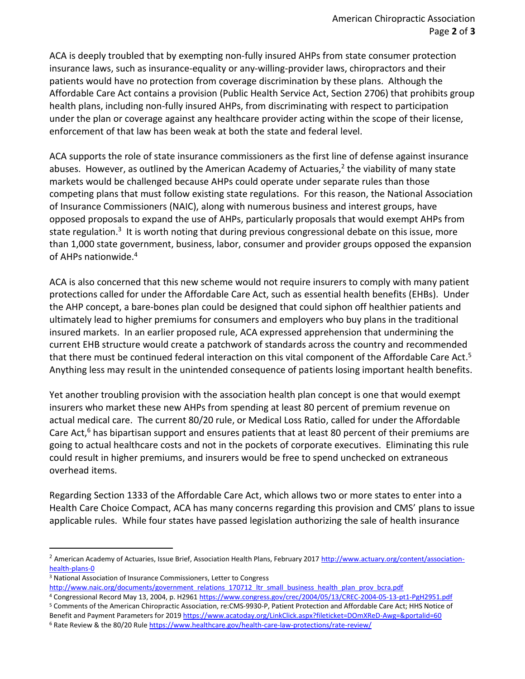ACA is deeply troubled that by exempting non-fully insured AHPs from state consumer protection insurance laws, such as insurance-equality or any-willing-provider laws, chiropractors and their patients would have no protection from coverage discrimination by these plans. Although the Affordable Care Act contains a provision (Public Health Service Act, Section 2706) that prohibits group health plans, including non-fully insured AHPs, from discriminating with respect to participation under the plan or coverage against any healthcare provider acting within the scope of their license, enforcement of that law has been weak at both the state and federal level.

ACA supports the role of state insurance commissioners as the first line of defense against insurance abuses. However, as outlined by the American Academy of Actuaries,<sup>2</sup> the viability of many state markets would be challenged because AHPs could operate under separate rules than those competing plans that must follow existing state regulations. For this reason, the National Association of Insurance Commissioners (NAIC), along with numerous business and interest groups, have opposed proposals to expand the use of AHPs, particularly proposals that would exempt AHPs from state regulation.<sup>3</sup> It is worth noting that during previous congressional debate on this issue, more than 1,000 state government, business, labor, consumer and provider groups opposed the expansion of AHPs nationwide. 4

ACA is also concerned that this new scheme would not require insurers to comply with many patient protections called for under the Affordable Care Act, such as essential health benefits (EHBs). Under the AHP concept, a bare-bones plan could be designed that could siphon off healthier patients and ultimately lead to higher premiums for consumers and employers who buy plans in the traditional insured markets. In an earlier proposed rule, ACA expressed apprehension that undermining the current EHB structure would create a patchwork of standards across the country and recommended that there must be continued federal interaction on this vital component of the Affordable Care Act. 5 Anything less may result in the unintended consequence of patients losing important health benefits.

Yet another troubling provision with the association health plan concept is one that would exempt insurers who market these new AHPs from spending at least 80 percent of premium revenue on actual medical care. The current 80/20 rule, or Medical Loss Ratio, called for under the Affordable Care Act,<sup>6</sup> has bipartisan support and ensures patients that at least 80 percent of their premiums are going to actual healthcare costs and not in the pockets of corporate executives. Eliminating this rule could result in higher premiums, and insurers would be free to spend unchecked on extraneous overhead items.

Regarding Section 1333 of the Affordable Care Act, which allows two or more states to enter into a Health Care Choice Compact, ACA has many concerns regarding this provision and CMS' plans to issue applicable rules. While four states have passed legislation authorizing the sale of health insurance

 $\overline{a}$ 

<sup>5</sup> Comments of the American Chiropractic Association, re:CMS-9930-P, Patient Protection and Affordable Care Act; HHS Notice of Benefit and Payment Parameters for 201[9 https://www.acatoday.org/LinkClick.aspx?fileticket=DOmXReD-Awg=&portalid=60](https://www.acatoday.org/LinkClick.aspx?fileticket=DOmXReD-Awg=&portalid=60)

<sup>&</sup>lt;sup>2</sup> American Academy of Actuaries, Issue Brief, Association Health Plans, February 2017 [http://www.actuary.org/content/association](http://www.actuary.org/content/association-health-plans-0)[health-plans-0](http://www.actuary.org/content/association-health-plans-0)

<sup>3</sup> National Association of Insurance Commissioners, Letter to Congress

[http://www.naic.org/documents/government\\_relations\\_170712\\_ltr\\_small\\_business\\_health\\_plan\\_prov\\_bcra.pdf](http://www.naic.org/documents/government_relations_170712_ltr_small_business_health_plan_prov_bcra.pdf) <sup>4</sup> Congressional Record May 13, 2004, p. H296[1 https://www.congress.gov/crec/2004/05/13/CREC-2004-05-13-pt1-PgH2951.pdf](https://www.congress.gov/crec/2004/05/13/CREC-2004-05-13-pt1-PgH2951.pdf)

<sup>&</sup>lt;sup>6</sup> Rate Review & the 80/20 Rul[e https://www.healthcare.gov/health-care-law-protections/rate-review/](https://www.healthcare.gov/health-care-law-protections/rate-review/)